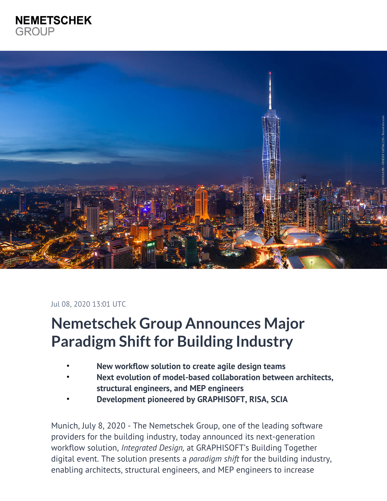# **NEMETSCHEK GROUP**



#### Jul 08, 2020 13:01 UTC

# **Nemetschek Group Announces Major Paradigm Shift for Building Industry**

- **New workflow solution to create agile design teams**
- **Next evolution of model-based collaboration between architects, structural engineers, and MEP engineers**
- **Development pioneered by GRAPHISOFT, RISA, SCIA**

Munich, July 8, 2020 - The Nemetschek Group, one of the leading software providers for the building industry, today announced its next-generation workflow solution, *Integrated Design,* at GRAPHISOFT's Building Together digital event. The solution presents a *paradigm shift* for the building industry, enabling architects, structural engineers, and MEP engineers to increase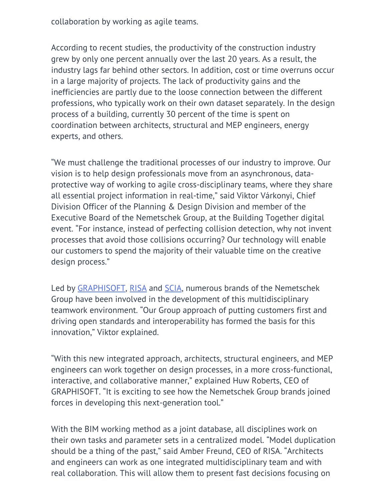collaboration by working as agile teams.

According to recent studies, the productivity of the construction industry grew by only one percent annually over the last 20 years. As a result, the industry lags far behind other sectors. In addition, cost or time overruns occur in a large majority of projects. The lack of productivity gains and the inefficiencies are partly due to the loose connection between the different professions, who typically work on their own dataset separately. In the design process of a building, currently 30 percent of the time is spent on coordination between architects, structural and MEP engineers, energy experts, and others.

"We must challenge the traditional processes of our industry to improve. Our vision is to help design professionals move from an asynchronous, dataprotective way of working to agile cross-disciplinary teams, where they share all essential project information in real-time," said Viktor Várkonyi, Chief Division Officer of the Planning & Design Division and member of the Executive Board of the Nemetschek Group, at the Building Together digital event. "For instance, instead of perfecting collision detection, why not invent processes that avoid those collisions occurring? Our technology will enable our customers to spend the majority of their valuable time on the creative design process."

Led by [GRAPHISOFT,](http://www.graphisoft.com/) [RISA](http://www.risa.com/) and [SCIA](http://www.scia.net/), numerous brands of the Nemetschek Group have been involved in the development of this multidisciplinary teamwork environment. "Our Group approach of putting customers first and driving open standards and interoperability has formed the basis for this innovation," Viktor explained.

"With this new integrated approach, architects, structural engineers, and MEP engineers can work together on design processes, in a more cross-functional, interactive, and collaborative manner," explained Huw Roberts, CEO of GRAPHISOFT. "It is exciting to see how the Nemetschek Group brands joined forces in developing this next-generation tool."

With the BIM working method as a joint database, all disciplines work on their own tasks and parameter sets in a centralized model. "Model duplication should be a thing of the past," said Amber Freund, CEO of RISA. "Architects and engineers can work as one integrated multidisciplinary team and with real collaboration. This will allow them to present fast decisions focusing on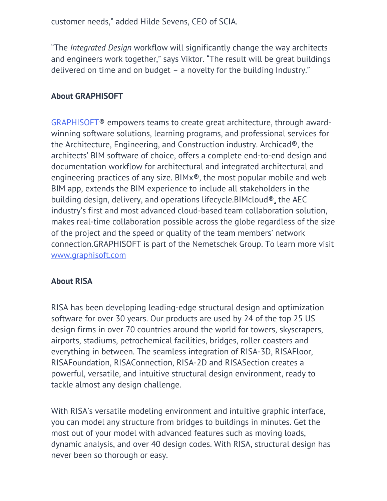customer needs," added Hilde Sevens, CEO of SCIA.

"The *Integrated Design* workflow will significantly change the way architects and engineers work together," says Viktor. "The result will be great buildings delivered on time and on budget – a novelty for the building Industry."

#### **About GRAPHISOFT**

[GRAPHISOFT®](https://www.graphisoft.com/) empowers teams to create great architecture, through awardwinning software solutions, learning programs, and professional services for the Architecture, Engineering, and Construction industry. Archicad®, the architects' BIM software of choice, offers a complete end-to-end design and documentation workflow for architectural and integrated architectural and engineering practices of any size. BIMx®, the most popular mobile and web BIM app, extends the BIM experience to include all stakeholders in the building design, delivery, and operations lifecycle.BIMcloud®, the AEC industry's first and most advanced cloud-based team collaboration solution, makes real-time collaboration possible across the globe regardless of the size of the project and the speed or quality of the team members' network connection.GRAPHISOFT is part of the Nemetschek Group. To learn more visit [www.graphisoft.com](http://www.graphisoft.com/)

#### **About RISA**

RISA has been developing leading-edge structural design and optimization software for over 30 years. Our products are used by 24 of the top 25 US design firms in over 70 countries around the world for towers, skyscrapers, airports, stadiums, petrochemical facilities, bridges, roller coasters and everything in between. The seamless integration of RISA-3D, RISAFloor, RISAFoundation, RISAConnection, RISA-2D and RISASection creates a powerful, versatile, and intuitive structural design environment, ready to tackle almost any design challenge.

With RISA's versatile modeling environment and intuitive graphic interface, you can model any structure from bridges to buildings in minutes. Get the most out of your model with advanced features such as moving loads, dynamic analysis, and over 40 design codes. With RISA, structural design has never been so thorough or easy.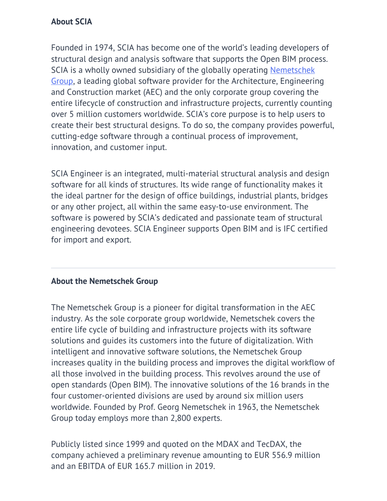### **About SCIA**

Founded in 1974, SCIA has become one of the world's leading developers of structural design and analysis software that supports the Open BIM process. SCIA is a wholly owned subsidiary of the globally operating [Nemetschek](http://www.nemetschek.com/) [Group,](http://www.nemetschek.com/) a leading global software provider for the Architecture, Engineering and Construction market (AEC) and the only corporate group covering the entire lifecycle of construction and infrastructure projects, currently counting over 5 million customers worldwide. SCIA's core purpose is to help users to create their best structural designs. To do so, the company provides powerful, cutting-edge software through a continual process of improvement, innovation, and customer input.

SCIA Engineer is an integrated, multi-material structural analysis and design software for all kinds of structures. Its wide range of functionality makes it the ideal partner for the design of office buildings, industrial plants, bridges or any other project, all within the same easy-to-use environment. The software is powered by SCIA's dedicated and passionate team of structural engineering devotees. SCIA Engineer supports Open BIM and is IFC certified for import and export.

## **About the Nemetschek Group**

The Nemetschek Group is a pioneer for digital transformation in the AEC industry. As the sole corporate group worldwide, Nemetschek covers the entire life cycle of building and infrastructure projects with its software solutions and guides its customers into the future of digitalization. With intelligent and innovative software solutions, the Nemetschek Group increases quality in the building process and improves the digital workflow of all those involved in the building process. This revolves around the use of open standards (Open BIM). The innovative solutions of the 16 brands in the four customer-oriented divisions are used by around six million users worldwide. Founded by Prof. Georg Nemetschek in 1963, the Nemetschek Group today employs more than 2,800 experts.

Publicly listed since 1999 and quoted on the MDAX and TecDAX, the company achieved a preliminary revenue amounting to EUR 556.9 million and an EBITDA of EUR 165.7 million in 2019.